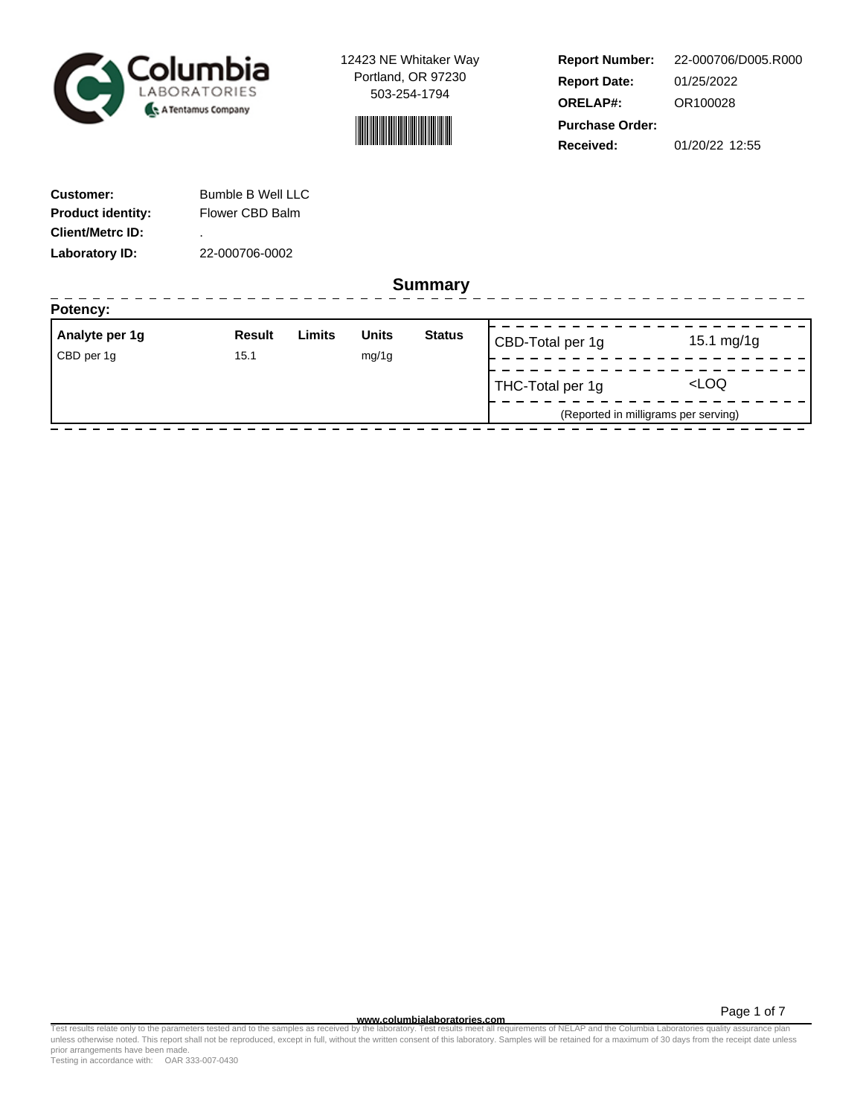



**Report Number: Report Date: ORELAP#:** 01/25/2022 OR100028 **Received:** 01/20/22 12:55 **Purchase Order:** 22-000706/D005.R000

| <b>Customer:</b>         | <b>Bumble B Well LLC</b> |
|--------------------------|--------------------------|
| <b>Product identity:</b> | Flower CBD Balm          |
| <b>Client/Metrc ID:</b>  | ٠                        |
| Laboratory ID:           | 22-000706-0002           |

**Summary**

| Analyte per 1g | <b>Result</b> | Limits | <b>Units</b> | <b>Status</b> | CBD-Total per 1g | 15.1 $mg/1g$                         |
|----------------|---------------|--------|--------------|---------------|------------------|--------------------------------------|
| CBD per 1g     | 15.1          |        | mg/1g        |               |                  |                                      |
|                |               |        |              |               | THC-Total per 1g | <loq< td=""></loq<>                  |
|                |               |        |              |               |                  | (Reported in milligrams per serving) |

Page 1 of 7

www.columbialaboratories.com<br>Test results relate only to the parameters tested and to the samples as received by the laboratories metall requirements of NELAP and the Columbia Laboratories quality assurance plan<br>unless oth prior arrangements have been made.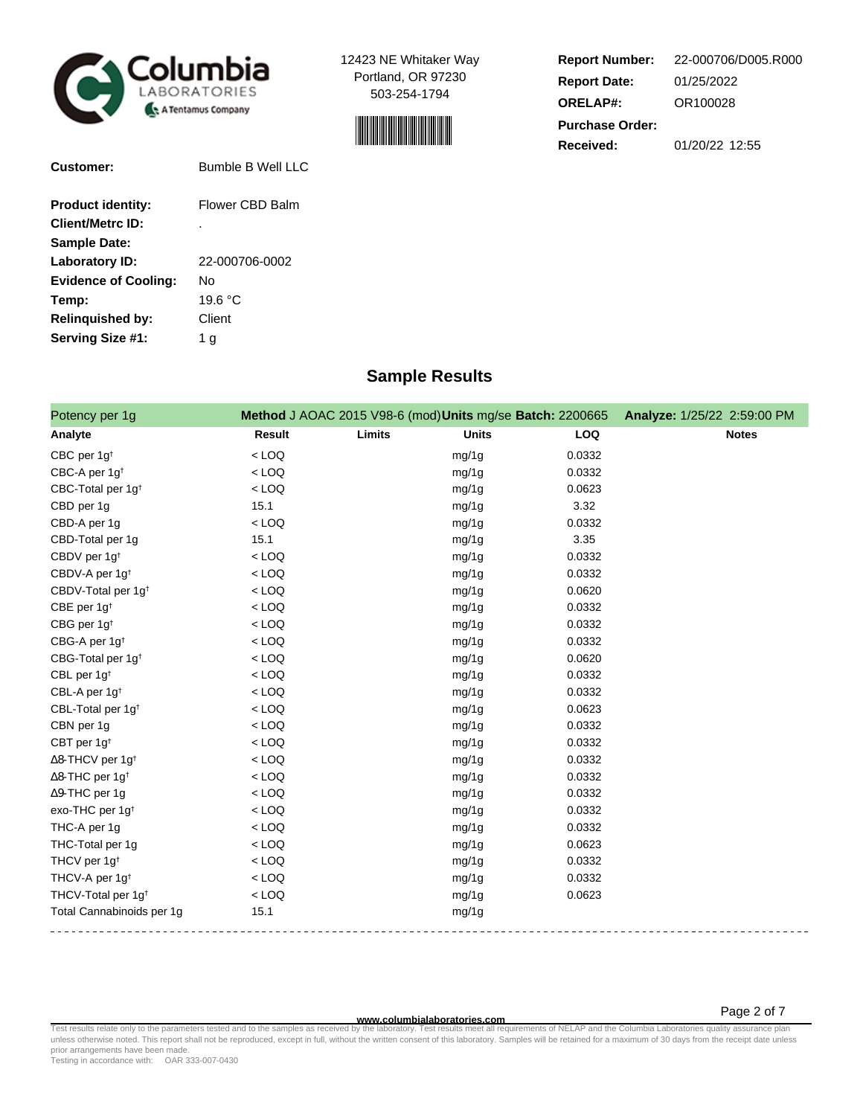



| <b>Report Number:</b>  | 22-000706/D005.R000 |
|------------------------|---------------------|
| <b>Report Date:</b>    | 01/25/2022          |
| <b>ORELAP#:</b>        | OR100028            |
| <b>Purchase Order:</b> |                     |
| Received:              | 01/20/22 12:55      |

| <b>Customer:</b>            | <b>Bumble B Well LLC</b> |
|-----------------------------|--------------------------|
| <b>Product identity:</b>    | Flower CBD Balm          |
| <b>Client/Metrc ID:</b>     | ٠                        |
| <b>Sample Date:</b>         |                          |
| Laboratory ID:              | 22-000706-0002           |
| <b>Evidence of Cooling:</b> | N٥                       |
| Temp:                       | 19.6 °C                  |
| <b>Relinguished by:</b>     | Client                   |
| Serving Size #1:            | 1 a                      |

# **Sample Results**

| Potency per 1g                      |               | Method J AOAC 2015 V98-6 (mod) Units mg/se Batch: 2200665 |              |            | Analyze: 1/25/22 2:59:00 PM |
|-------------------------------------|---------------|-----------------------------------------------------------|--------------|------------|-----------------------------|
| Analyte                             | <b>Result</b> | Limits                                                    | <b>Units</b> | <b>LOQ</b> | <b>Notes</b>                |
| CBC per 1g <sup>t</sup>             | $<$ LOQ       |                                                           | mg/1g        | 0.0332     |                             |
| CBC-A per 1g <sup>t</sup>           | $<$ LOQ       |                                                           | mg/1g        | 0.0332     |                             |
| CBC-Total per 1g <sup>t</sup>       | $<$ LOQ       |                                                           | mg/1g        | 0.0623     |                             |
| CBD per 1g                          | 15.1          |                                                           | mg/1g        | 3.32       |                             |
| CBD-A per 1g                        | $<$ LOQ       |                                                           | mg/1g        | 0.0332     |                             |
| CBD-Total per 1g                    | 15.1          |                                                           | mg/1g        | 3.35       |                             |
| CBDV per 1g <sup>t</sup>            | $<$ LOQ       |                                                           | mg/1g        | 0.0332     |                             |
| CBDV-A per 1g <sup>t</sup>          | $<$ LOQ       |                                                           | mg/1g        | 0.0332     |                             |
| CBDV-Total per 1g <sup>t</sup>      | $<$ LOQ       |                                                           | mg/1g        | 0.0620     |                             |
| CBE per 1g <sup>t</sup>             | $<$ LOQ       |                                                           | mg/1g        | 0.0332     |                             |
| CBG per 1g <sup>t</sup>             | $<$ LOQ       |                                                           | mg/1g        | 0.0332     |                             |
| CBG-A per 1g <sup>t</sup>           | $<$ LOQ       |                                                           | mg/1g        | 0.0332     |                             |
| CBG-Total per 1g <sup>+</sup>       | $<$ LOQ       |                                                           | mg/1g        | 0.0620     |                             |
| CBL per 1g <sup>t</sup>             | $<$ LOQ       |                                                           | mg/1g        | 0.0332     |                             |
| CBL-A per 1g <sup>t</sup>           | $<$ LOQ       |                                                           | mg/1g        | 0.0332     |                             |
| CBL-Total per 1g <sup>t</sup>       | $<$ LOQ       |                                                           | mg/1g        | 0.0623     |                             |
| CBN per 1g                          | $<$ LOQ       |                                                           | mg/1g        | 0.0332     |                             |
| CBT per $1g^{\dagger}$              | $<$ LOQ       |                                                           | mg/1g        | 0.0332     |                             |
| $\Delta$ 8-THCV per 1g <sup>+</sup> | $<$ LOQ       |                                                           | mg/1g        | 0.0332     |                             |
| $\Delta$ 8-THC per 1g <sup>+</sup>  | $<$ LOQ       |                                                           | mg/1g        | 0.0332     |                             |
| $\Delta$ 9-THC per 1g               | $<$ LOQ       |                                                           | mg/1g        | 0.0332     |                             |
| exo-THC per 1g <sup>t</sup>         | $<$ LOQ       |                                                           | mg/1g        | 0.0332     |                             |
| THC-A per 1g                        | $<$ LOQ       |                                                           | mg/1g        | 0.0332     |                             |
| THC-Total per 1g                    | $<$ LOQ       |                                                           | mg/1g        | 0.0623     |                             |
| THCV per 1g <sup>t</sup>            | $<$ LOQ       |                                                           | mg/1g        | 0.0332     |                             |
| THCV-A per 1g <sup>t</sup>          | $<$ LOQ       |                                                           | mg/1g        | 0.0332     |                             |
| THCV-Total per 1g <sup>t</sup>      | $<$ LOQ       |                                                           | mg/1g        | 0.0623     |                             |
| Total Cannabinoids per 1g           | 15.1          |                                                           | mg/1g        |            |                             |

**WWW.columbialaboratories.com**<br>unless otherwise noted. This report shall not be reproduced, except in full, without the written consent of this laboratory. Samples will be retained for a maximum of 30 days from the receipt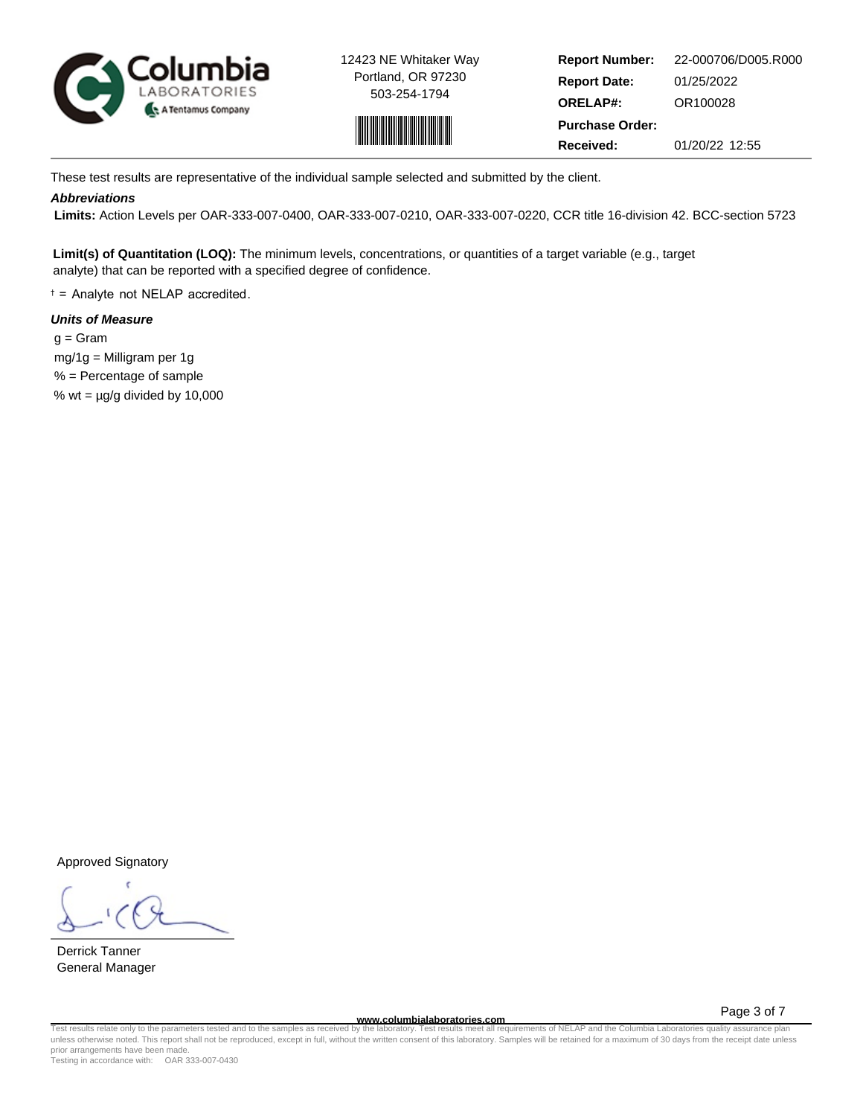



**Report Number: Report Date: ORELAP#:** 01/25/2022 OR100028 **Received:** 01/20/22 12:55 **Purchase Order:** 22-000706/D005.R000

These test results are representative of the individual sample selected and submitted by the client.

## **Abbreviations**

 **Limits:** Action Levels per OAR-333-007-0400, OAR-333-007-0210, OAR-333-007-0220, CCR title 16-division 42. BCC-section 5723

**Limit(s) of Quantitation (LOQ):** The minimum levels, concentrations, or quantities of a target variable (e.g., target analyte) that can be reported with a specified degree of confidence.

† = Analyte not NELAP accredited.

## **Units of Measure**

 $q = \text{Gram}$  mg/1g = Milligram per 1g % = Percentage of sample % wt =  $\mu$ g/g divided by 10,000

Approved Signatory

Derrick Tanner General Manager

**www.columbialaboratories.com**

Page 3 of 7

Test results relate only to the parameters tested and to the samples as received by the laboratory. Test results meet all requirements of NELAP and the Columbia Laboratories quality assurance plan<br>unless otherwise noted. T prior arrangements have been made.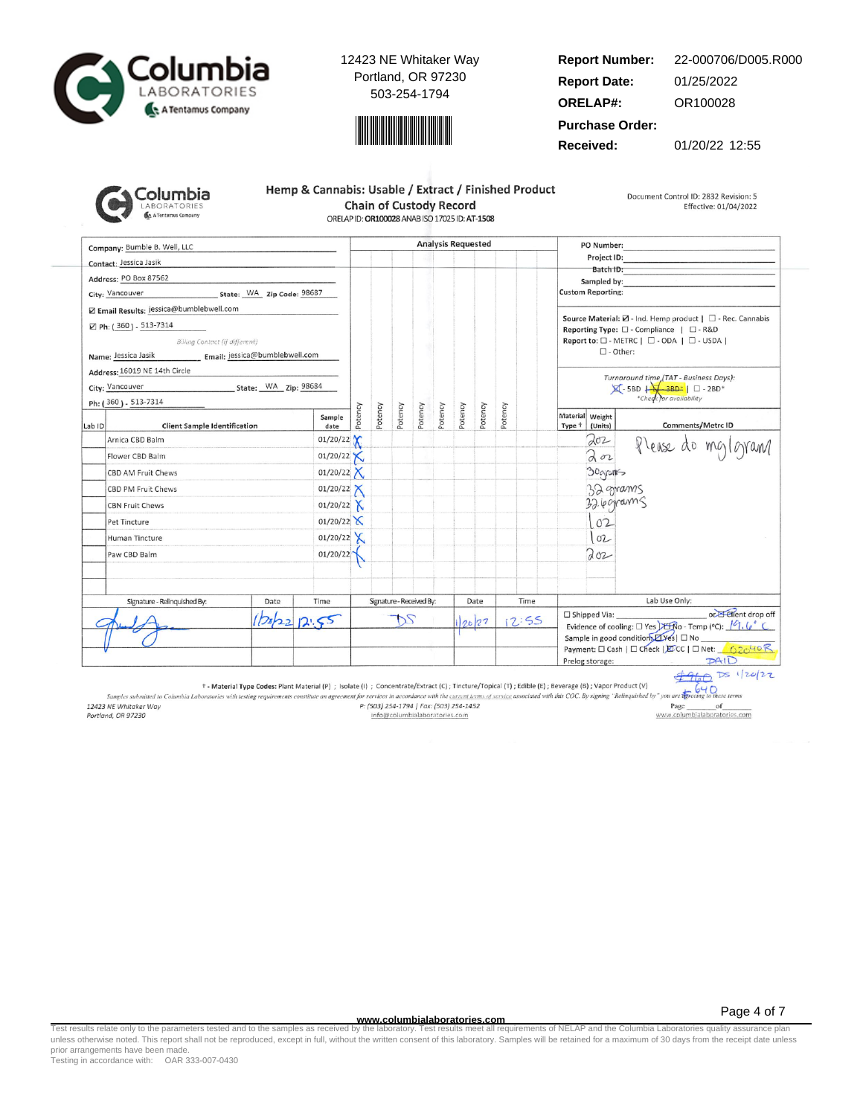



#### **Report Number: Report Date: ORELAP#:** 01/25/2022 OR100028 22-000706/D005.R000

**Purchase Order:**

**Received:** 01/20/22 12:55

| <b>Columbia</b>     |
|---------------------|
| <b>LABORATORIES</b> |
| A Tentamus Company  |

| Hemp & Cannabis: Usable / Extract / Finished Product |  |  |  |
|------------------------------------------------------|--|--|--|
| <b>Chain of Custody Record</b>                       |  |  |  |
| ORELAP ID: OR100028 ANAB ISO 17025 ID: AT-1508       |  |  |  |

Document Control ID: 2832 Revision: 5 Effective: 01/04/2022

Company: Bumble B. Well, LLC **Analysis Requested** PO Number: Project ID: Contact: Jessica Jasik Batch ID: Address: PO Box 87562 Sampled by City: Vancouver State: WA Zip Code: 98687 **Custom Reporting:** Z Email Results: jessica@bumblebwell.com Source Material:  $\boxtimes$  - Ind. Hemp product |  $\Box$  - Rec. Cannabis ⊠ Ph: (360) - 513-7314 Reporting Type:  $\square$  - Compliance |  $\square$  - R&D Billing Contact (if different) Report to: □ - METRC | □ - ODA | □ - USDA |  $\square$  - Other: Name: Jessica Jasik Email: jessica@bumblebwell.com Address: 16019 NE 14th Circle Turnaround time (TAT - Business Days):<br> $\boxtimes$  - 5BD  $\downarrow$  - 3BD\*  $\parallel$   $\Box$  - 2BD\*<br>\*Check for availability State: WA Zip: 98684 City: Vancouver Ph: (360) - 513-7314 Potency Potency Potency Potency Potency Potency Potency Potency Material Weight Sample Comments/Metrc ID Lab ID **Client Sample Identification** date Type <sup>+</sup> (Units) 01/20/22  $202$ Arnica CBD Balm Please do mg/gram  $202$  $01/20/22$ Flower CBD Balm Х 01/20/22  $X$ 30grants CBD AM Fruit Chews  $01/20/22$ 32 grams CBD PM Fruit Chews 32.6 grams CBN Fruit Chews 01/20/22  $X$  $01/20/22$  $102$ Pet Tincture 01/20/22  $X$  $102$ Human Tincture Paw CBD Balm 01/20/22  $202$ Signature - Relinquished By: Date Time Signature - Received By: Date Time Lab Use Only: or Elient drop off □ Shipped Via:  $12:55$  $2022$ DS  $12.55$ 20/22 Evidence of cooling:  $\square$  Yes  $\square$   $\overline{\text{R}}$  O - Temp (°C):  $\sqrt{9}$ ,  $\sqrt{9}$ Sample in good condition *LYes* | □ No Payment: □ Cash | □ Check | EDCC | □ Net: 62040 R  $PAID$ Prelog storage:

 $4960$  Ds 1/20/22  $640$ 

† - Material Type Codes: Plant Material (P) ; Isolate (i) ; Concentrate/Extract (C); Tincture/Topical (T); Edible (E); Beverage (B); Vapor Product (V)

Samples submitted to Columbia Laboratories with testing requirements constitute an agreement for services in accordance with the current terms of service associated with this COC. By signing "Relinquished by" you are the 12423 NE Whitaker Way P: (503) 254-1794 | Fax: (503) 254-1452 Page of www.columbialaboratories.com Portland, OR 97230 info@columbialaboratories.com

**www.columbialaboratories.com**

Test results relate only to the parameters tested and to the samples as received by the laboratory. Test results meet all requirements of NELAP and the Columbia Laboratories quality assurance plan<br>unless otherwise noted. T prior arrangements have been made.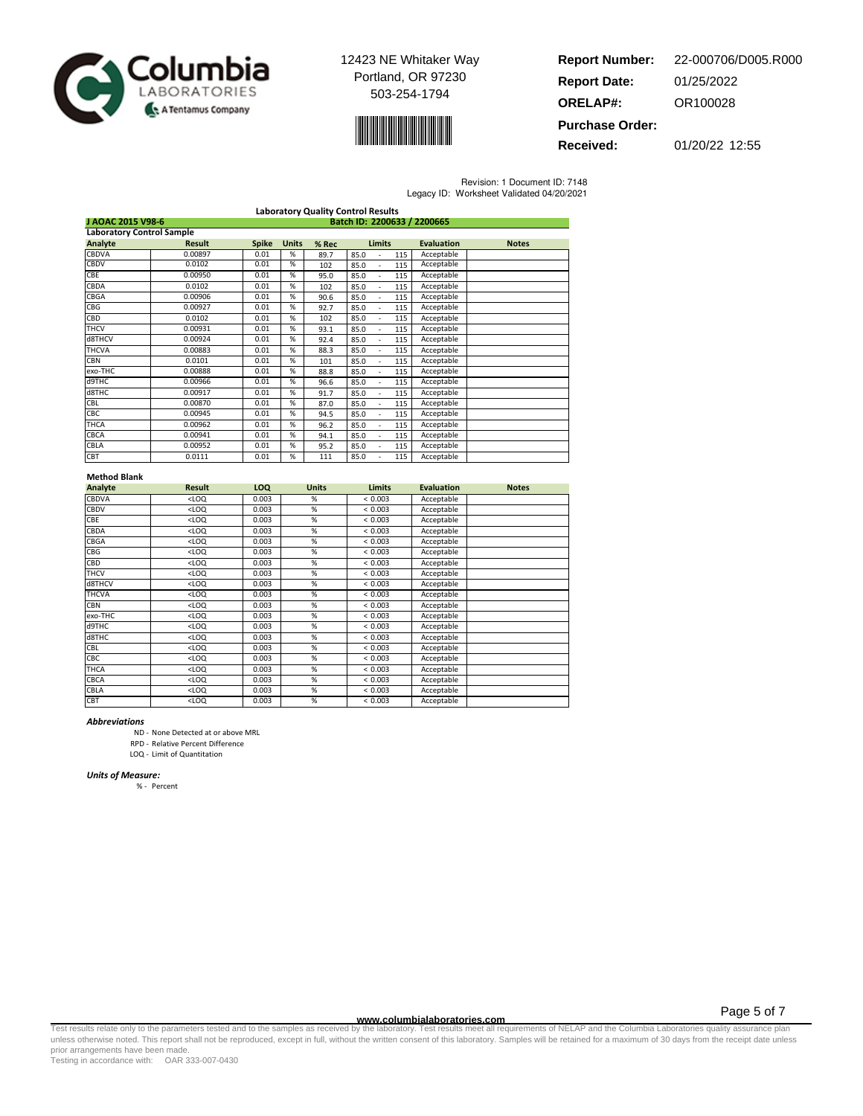



| <b>Report Number:</b>  | 22-000706/D005.R000 |
|------------------------|---------------------|
| <b>Report Date:</b>    | 01/25/2022          |
| <b>ORELAP#:</b>        | OR100028            |
| <b>Purchase Order:</b> |                     |

**Received:** 01/20/22 12:55

Revision: 1 Document ID: 7148

|  | Legacy ID: Worksheet Validated 04/20/2021 |
|--|-------------------------------------------|
|  |                                           |

| <b>Laboratory Quality Control Results</b>        |               |              |              |       |                        |     |                   |              |
|--------------------------------------------------|---------------|--------------|--------------|-------|------------------------|-----|-------------------|--------------|
| Batch ID: 2200633 / 2200665<br>J AOAC 2015 V98-6 |               |              |              |       |                        |     |                   |              |
| <b>Laboratory Control Sample</b>                 |               |              |              |       |                        |     |                   |              |
| Analyte                                          | <b>Result</b> | <b>Spike</b> | <b>Units</b> | % Rec | <b>Limits</b>          |     | <b>Evaluation</b> | <b>Notes</b> |
| <b>CBDVA</b>                                     | 0.00897       | 0.01         | %            | 89.7  | 85.0                   | 115 | Acceptable        |              |
| <b>CBDV</b>                                      | 0.0102        | 0.01         | %            | 102   | 85.0                   | 115 | Acceptable        |              |
| CBE                                              | 0.00950       | 0.01         | %            | 95.0  | 85.0                   | 115 | Acceptable        |              |
| CBDA                                             | 0.0102        | 0.01         | %            | 102   | 85.0<br>$\overline{a}$ | 115 | Acceptable        |              |
| CBGA                                             | 0.00906       | 0.01         | %            | 90.6  | 85.0<br>÷.             | 115 | Acceptable        |              |
| <b>CBG</b>                                       | 0.00927       | 0.01         | %            | 92.7  | 85.0<br>$\overline{a}$ | 115 | Acceptable        |              |
| <b>CBD</b>                                       | 0.0102        | 0.01         | %            | 102   | 85.0<br>$\overline{a}$ | 115 | Acceptable        |              |
| <b>THCV</b>                                      | 0.00931       | 0.01         | %            | 93.1  | 85.0<br>$\overline{a}$ | 115 | Acceptable        |              |
| d8THCV                                           | 0.00924       | 0.01         | %            | 92.4  | 85.0                   | 115 | Acceptable        |              |
| <b>THCVA</b>                                     | 0.00883       | 0.01         | %            | 88.3  | 85.0                   | 115 | Acceptable        |              |
| <b>CBN</b>                                       | 0.0101        | 0.01         | %            | 101   | 85.0<br>ä,             | 115 | Acceptable        |              |
| exo-THC                                          | 0.00888       | 0.01         | %            | 88.8  | 85.0                   | 115 | Acceptable        |              |
| d9THC                                            | 0.00966       | 0.01         | %            | 96.6  | 85.0                   | 115 | Acceptable        |              |
| d8THC                                            | 0.00917       | 0.01         | %            | 91.7  | 85.0                   | 115 | Acceptable        |              |
| <b>CBL</b>                                       | 0.00870       | 0.01         | %            | 87.0  | 85.0                   | 115 | Acceptable        |              |
| CBC                                              | 0.00945       | 0.01         | %            | 94.5  | 85.0                   | 115 | Acceptable        |              |
| THCA                                             | 0.00962       | 0.01         | %            | 96.2  | 85.0                   | 115 | Acceptable        |              |
| <b>CBCA</b>                                      | 0.00941       | 0.01         | %            | 94.1  | 85.0<br>$\overline{a}$ | 115 | Acceptable        |              |
| CBLA                                             | 0.00952       | 0.01         | %            | 95.2  | 85.0                   | 115 | Acceptable        |              |
| CBT                                              | 0.0111        | 0.01         | %            | 111   | 85.0                   | 115 | Acceptable        |              |

### Method Blank

| Analyte      | <b>Result</b> | LOQ   | <b>Units</b>    | <b>Limits</b> | <b>Evaluation</b> | <b>Notes</b> |
|--------------|---------------|-------|-----------------|---------------|-------------------|--------------|
| CBDVA        | $<$ LOQ       | 0.003 | %               | < 0.003       | Acceptable        |              |
| CBDV         | $<$ LOQ       | 0.003 | %               | < 0.003       | Acceptable        |              |
| CBE          | $<$ LOQ       | 0.003 | %               | < 0.003       | Acceptable        |              |
| CBDA         | $<$ LOQ       | 0.003 | %               | < 0.003       | Acceptable        |              |
| CBGA         | $<$ LOQ       | 0.003 | %               | < 0.003       | Acceptable        |              |
| CBG          | $<$ LOQ       | 0.003 | %               | < 0.003       | Acceptable        |              |
| CBD          | $<$ LOQ       | 0.003 | %               | < 0.003       | Acceptable        |              |
| <b>THCV</b>  | $<$ LOQ       | 0.003 | %               | < 0.003       | Acceptable        |              |
| d8THCV       | $<$ LOQ       | 0.003 | %               | < 0.003       | Acceptable        |              |
| <b>THCVA</b> | $<$ LOQ       | 0.003 | %               | < 0.003       | Acceptable        |              |
| CBN          | $<$ LOQ       | 0.003 | %               | < 0.003       | Acceptable        |              |
| exo-THC      | $<$ LOQ       | 0.003 | %               | < 0.003       | Acceptable        |              |
| d9THC        | $<$ LOQ       | 0.003 | %               | < 0.003       | Acceptable        |              |
| d8THC        | $<$ LOQ       | 0.003 | $\overline{\%}$ | < 0.003       | Acceptable        |              |
| CBL          | $<$ LOQ       | 0.003 | %               | < 0.003       | Acceptable        |              |
| CBC          | $<$ LOQ       | 0.003 | %               | < 0.003       | Acceptable        |              |
| THCA         | $<$ LOQ       | 0.003 | %               | < 0.003       | Acceptable        |              |
| CBCA         | $<$ LOQ       | 0.003 | %               | < 0.003       | Acceptable        |              |
| CBLA         | $<$ LOQ       | 0.003 | %               | < 0.003       | Acceptable        |              |
| CBT          | $<$ LOQ       | 0.003 | %               | < 0.003       | Acceptable        |              |

#### Abbreviations

ND - None Detected at or above MRL

RPD - Relative Percent Difference

LOQ - Limit of Quantitation

#### Units of Measure:

% - Percent

Test results relate only to the parameters tested and to the samples as received by the laboratory. Test results meet all requirements of NELAP and the Columbia Laboratories quality assurance plan<br>unless otherwise noted. T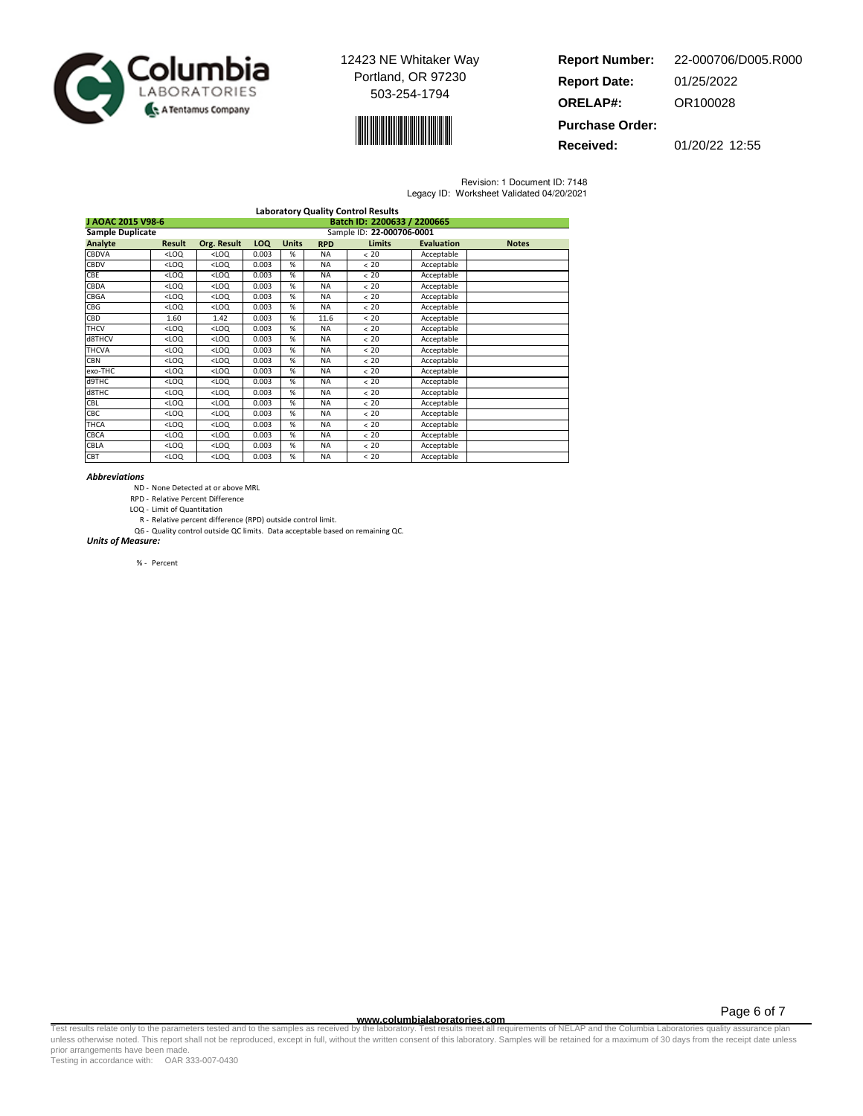



| <b>Report Number:</b>  | 22-000706/D005.R000 |
|------------------------|---------------------|
| <b>Report Date:</b>    | 01/25/2022          |
| <b>ORELAP#:</b>        | OR100028            |
| <b>Purchase Order:</b> |                     |

**Received:** 01/20/22 12:55

Revision: 1 Document ID: 7148 Legacy ID: Worksheet Validated 04/20/2021

| <b>Laboratory Quality Control Results</b>        |         |                                                                                                           |                           |              |            |               |                   |              |  |
|--------------------------------------------------|---------|-----------------------------------------------------------------------------------------------------------|---------------------------|--------------|------------|---------------|-------------------|--------------|--|
| Batch ID: 2200633 / 2200665<br>J AOAC 2015 V98-6 |         |                                                                                                           |                           |              |            |               |                   |              |  |
| <b>Sample Duplicate</b>                          |         |                                                                                                           | Sample ID: 22-000706-0001 |              |            |               |                   |              |  |
| Analyte                                          | Result  | Org. Result                                                                                               | <b>LOQ</b>                | <b>Units</b> | <b>RPD</b> | <b>Limits</b> | <b>Evaluation</b> | <b>Notes</b> |  |
| <b>CBDVA</b>                                     | $<$ LOQ | $<$ LOQ                                                                                                   | 0.003                     | %            | <b>NA</b>  | < 20          | Acceptable        |              |  |
| <b>CBDV</b>                                      | $<$ LOQ | $<$ LOQ                                                                                                   | 0.003                     | %            | <b>NA</b>  | < 20          | Acceptable        |              |  |
| CBE                                              | $<$ LOQ | $<$ LOQ                                                                                                   | 0.003                     | %            | <b>NA</b>  | < 20          | Acceptable        |              |  |
| CBDA                                             | $<$ LOQ | $<$ LOQ                                                                                                   | 0.003                     | %            | <b>NA</b>  | < 20          | Acceptable        |              |  |
| CBGA                                             | $<$ LOQ | $<$ LOQ                                                                                                   | 0.003                     | %            | <b>NA</b>  | < 20          | Acceptable        |              |  |
| CBG                                              | $<$ LOQ | $<$ LOQ                                                                                                   | 0.003                     | %            | <b>NA</b>  | < 20          | Acceptable        |              |  |
| <b>CBD</b>                                       | 1.60    | 1.42                                                                                                      | 0.003                     | %            | 11.6       | < 20          | Acceptable        |              |  |
| <b>THCV</b>                                      | $<$ LOQ | $<$ LOQ                                                                                                   | 0.003                     | %            | <b>NA</b>  | < 20          | Acceptable        |              |  |
| d8THCV                                           | $<$ LOQ | $<$ LOQ                                                                                                   | 0.003                     | %            | <b>NA</b>  | < 20          | Acceptable        |              |  |
| <b>THCVA</b>                                     | $<$ LOQ | $<$ LOQ                                                                                                   | 0.003                     | %            | <b>NA</b>  | < 20          | Acceptable        |              |  |
| <b>CBN</b>                                       | $<$ LOQ | $<$ LOQ                                                                                                   | 0.003                     | %            | <b>NA</b>  | < 20          | Acceptable        |              |  |
| exo-THC                                          | $<$ LOQ | $<$ LOQ                                                                                                   | 0.003                     | %            | <b>NA</b>  | < 20          | Acceptable        |              |  |
| d9THC                                            | $<$ LOQ | $<$ LOQ                                                                                                   | 0.003                     | %            | <b>NA</b>  | < 20          | Acceptable        |              |  |
| d8THC                                            | $<$ LOQ | $<$ LOQ                                                                                                   | 0.003                     | %            | <b>NA</b>  | < 20          | Acceptable        |              |  |
| CBL                                              | $<$ LOQ | <loq< td=""><td>0.003</td><td>%</td><td><b>NA</b></td><td>&lt; 20</td><td>Acceptable</td><td></td></loq<> | 0.003                     | %            | <b>NA</b>  | < 20          | Acceptable        |              |  |
| CBC                                              | $<$ LOQ | <loq< td=""><td>0.003</td><td>%</td><td><b>NA</b></td><td>&lt; 20</td><td>Acceptable</td><td></td></loq<> | 0.003                     | %            | <b>NA</b>  | < 20          | Acceptable        |              |  |
| <b>THCA</b>                                      | $<$ LOQ | <loq< td=""><td>0.003</td><td>%</td><td><b>NA</b></td><td>&lt; 20</td><td>Acceptable</td><td></td></loq<> | 0.003                     | %            | <b>NA</b>  | < 20          | Acceptable        |              |  |
| <b>CBCA</b>                                      | $<$ LOQ | $<$ LOQ                                                                                                   | 0.003                     | %            | <b>NA</b>  | < 20          | Acceptable        |              |  |
| CBLA                                             | $<$ LOQ | $<$ LOQ                                                                                                   | 0.003                     | %            | <b>NA</b>  | < 20          | Acceptable        |              |  |
| <b>CBT</b>                                       | $<$ LOQ | $<$ LOQ                                                                                                   | 0.003                     | %            | <b>NA</b>  | < 20          | Acceptable        |              |  |

#### Abbreviations

- ND None Detected at or above MRL
- RPD Relative Percent Difference
- LOQ Limit of Quantitation
- R Relative percent difference (RPD) outside control limit. Q6 - Quality control outside QC limits. Data acceptable based on remaining QC.

Units of Measure:

% - Percent

Page 6 of 7

www.columbialaboratories.com<br>Test results relate only to the parameters tested and to the samples as received by the laboratories metall requirements of NELAP and the Columbia Laboratories quality assurance plan<br>unless oth prior arrangements have been made.